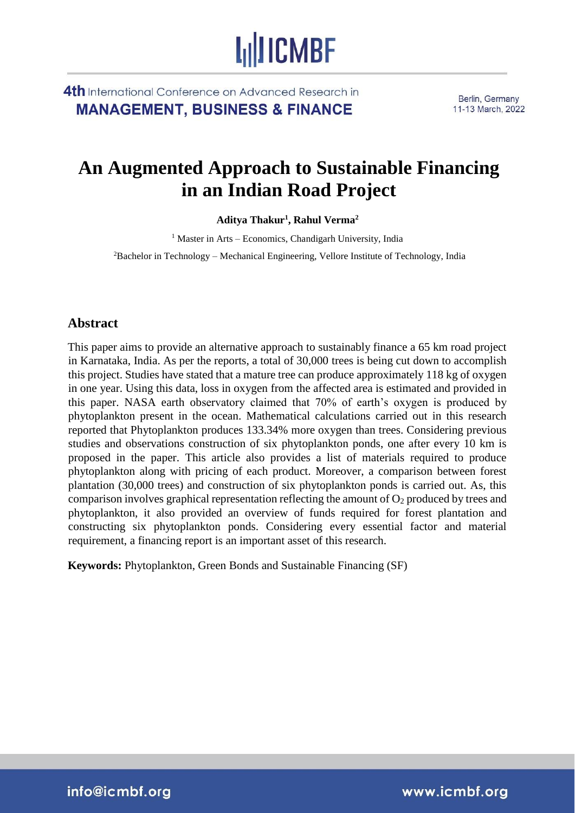4th International Conference on Advanced Research in **MANAGEMENT, BUSINESS & FINANCE** 

Berlin, Germany 11-13 March, 2022

## **An Augmented Approach to Sustainable Financing in an Indian Road Project**

**LullICMBF** 

**Aditya Thakur<sup>1</sup> , Rahul Verma<sup>2</sup>**

 $<sup>1</sup>$  Master in Arts – Economics, Chandigarh University, India</sup>

<sup>2</sup>Bachelor in Technology – Mechanical Engineering, Vellore Institute of Technology, India

#### **Abstract**

This paper aims to provide an alternative approach to sustainably finance a 65 km road project in Karnataka, India. As per the reports, a total of 30,000 trees is being cut down to accomplish this project. Studies have stated that a mature tree can produce approximately 118 kg of oxygen in one year. Using this data, loss in oxygen from the affected area is estimated and provided in this paper. NASA earth observatory claimed that 70% of earth's oxygen is produced by phytoplankton present in the ocean. Mathematical calculations carried out in this research reported that Phytoplankton produces 133.34% more oxygen than trees. Considering previous studies and observations construction of six phytoplankton ponds, one after every 10 km is proposed in the paper. This article also provides a list of materials required to produce phytoplankton along with pricing of each product. Moreover, a comparison between forest plantation (30,000 trees) and construction of six phytoplankton ponds is carried out. As, this comparison involves graphical representation reflecting the amount of  $O_2$  produced by trees and phytoplankton, it also provided an overview of funds required for forest plantation and constructing six phytoplankton ponds. Considering every essential factor and material requirement, a financing report is an important asset of this research.

**Keywords:** Phytoplankton, Green Bonds and Sustainable Financing (SF)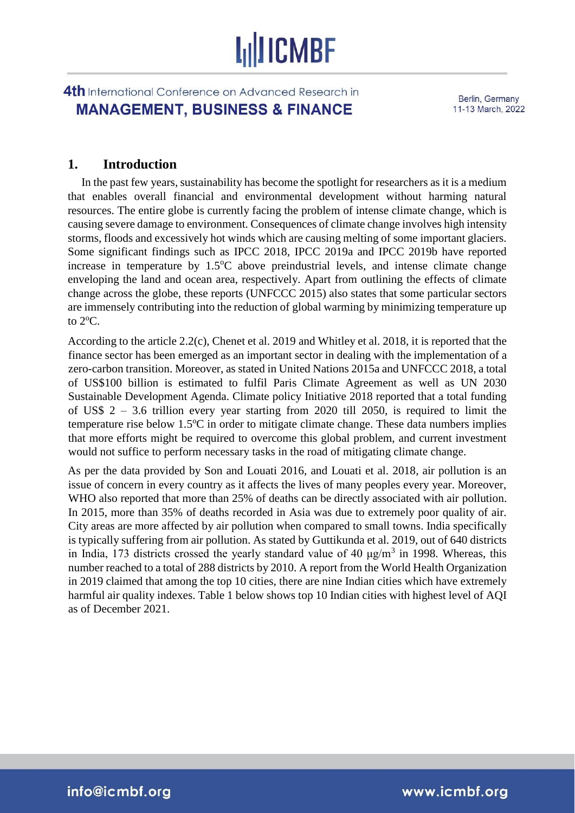### 4th International Conference on Advanced Research in **MANAGEMENT, BUSINESS & FINANCE**

Berlin, Germany 11-13 March, 2022

### **1. Introduction**

In the past few years, sustainability has become the spotlight for researchers as it is a medium that enables overall financial and environmental development without harming natural resources. The entire globe is currently facing the problem of intense climate change, which is causing severe damage to environment. Consequences of climate change involves high intensity storms, floods and excessively hot winds which are causing melting of some important glaciers. Some significant findings such as IPCC 2018, IPCC 2019a and IPCC 2019b have reported increase in temperature by  $1.5^{\circ}$ C above preindustrial levels, and intense climate change enveloping the land and ocean area, respectively. Apart from outlining the effects of climate change across the globe, these reports (UNFCCC 2015) also states that some particular sectors are immensely contributing into the reduction of global warming by minimizing temperature up to  $2^{\circ}$ C.

According to the article 2.2(c), Chenet et al. 2019 and Whitley et al. 2018, it is reported that the finance sector has been emerged as an important sector in dealing with the implementation of a zero-carbon transition. Moreover, as stated in United Nations 2015a and UNFCCC 2018, a total of US\$100 billion is estimated to fulfil Paris Climate Agreement as well as UN 2030 Sustainable Development Agenda. Climate policy Initiative 2018 reported that a total funding of US\$ 2 – 3.6 trillion every year starting from 2020 till 2050, is required to limit the temperature rise below  $1.5^{\circ}$ C in order to mitigate climate change. These data numbers implies that more efforts might be required to overcome this global problem, and current investment would not suffice to perform necessary tasks in the road of mitigating climate change.

As per the data provided by Son and Louati 2016, and Louati et al. 2018, air pollution is an issue of concern in every country as it affects the lives of many peoples every year. Moreover, WHO also reported that more than 25% of deaths can be directly associated with air pollution. In 2015, more than 35% of deaths recorded in Asia was due to extremely poor quality of air. City areas are more affected by air pollution when compared to small towns. India specifically is typically suffering from air pollution. As stated by Guttikunda et al. 2019, out of 640 districts in India, 173 districts crossed the yearly standard value of 40  $\mu$ g/m<sup>3</sup> in 1998. Whereas, this number reached to a total of 288 districts by 2010. A report from the World Health Organization in 2019 claimed that among the top 10 cities, there are nine Indian cities which have extremely harmful air quality indexes. Table 1 below shows top 10 Indian cities with highest level of AQI as of December 2021.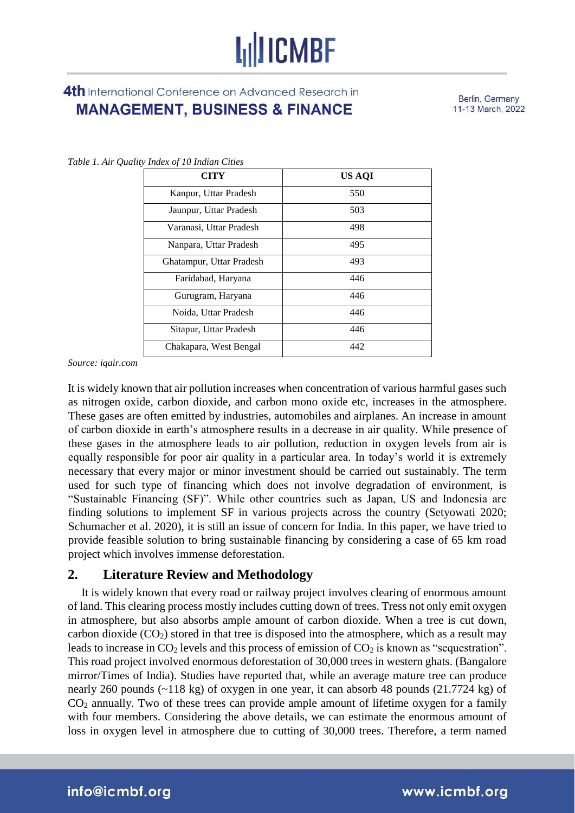4th International Conference on Advanced Research in **MANAGEMENT, BUSINESS & FINANCE** 

Berlin, Germany 11-13 March, 2022

| CITY                     | US AQI |
|--------------------------|--------|
| Kanpur, Uttar Pradesh    | 550    |
| Jaunpur, Uttar Pradesh   | 503    |
| Varanasi, Uttar Pradesh  | 498    |
| Nanpara, Uttar Pradesh   | 495    |
| Ghatampur, Uttar Pradesh | 493    |
| Faridabad, Haryana       | 446    |
| Gurugram, Haryana        | 446    |
| Noida, Uttar Pradesh     | 446    |
| Sitapur, Uttar Pradesh   | 446    |
| Chakapara, West Bengal   | 442    |

*Table 1. Air Quality Index of 10 Indian Cities*

*Source: iqair.com* 

It is widely known that air pollution increases when concentration of various harmful gases such as nitrogen oxide, carbon dioxide, and carbon mono oxide etc, increases in the atmosphere. These gases are often emitted by industries, automobiles and airplanes. An increase in amount of carbon dioxide in earth's atmosphere results in a decrease in air quality. While presence of these gases in the atmosphere leads to air pollution, reduction in oxygen levels from air is equally responsible for poor air quality in a particular area. In today's world it is extremely necessary that every major or minor investment should be carried out sustainably. The term used for such type of financing which does not involve degradation of environment, is "Sustainable Financing (SF)". While other countries such as Japan, US and Indonesia are finding solutions to implement SF in various projects across the country (Setyowati 2020; Schumacher et al. 2020), it is still an issue of concern for India. In this paper, we have tried to provide feasible solution to bring sustainable financing by considering a case of 65 km road project which involves immense deforestation.

#### **2. Literature Review and Methodology**

It is widely known that every road or railway project involves clearing of enormous amount of land. This clearing process mostly includes cutting down of trees. Tress not only emit oxygen in atmosphere, but also absorbs ample amount of carbon dioxide. When a tree is cut down, carbon dioxide  $(CO_2)$  stored in that tree is disposed into the atmosphere, which as a result may leads to increase in  $CO<sub>2</sub>$  levels and this process of emission of  $CO<sub>2</sub>$  is known as "sequestration". This road project involved enormous deforestation of 30,000 trees in western ghats. (Bangalore mirror/Times of India). Studies have reported that, while an average mature tree can produce nearly 260 pounds (~118 kg) of oxygen in one year, it can absorb 48 pounds (21.7724 kg) of CO<sup>2</sup> annually. Two of these trees can provide ample amount of lifetime oxygen for a family with four members. Considering the above details, we can estimate the enormous amount of loss in oxygen level in atmosphere due to cutting of 30,000 trees. Therefore, a term named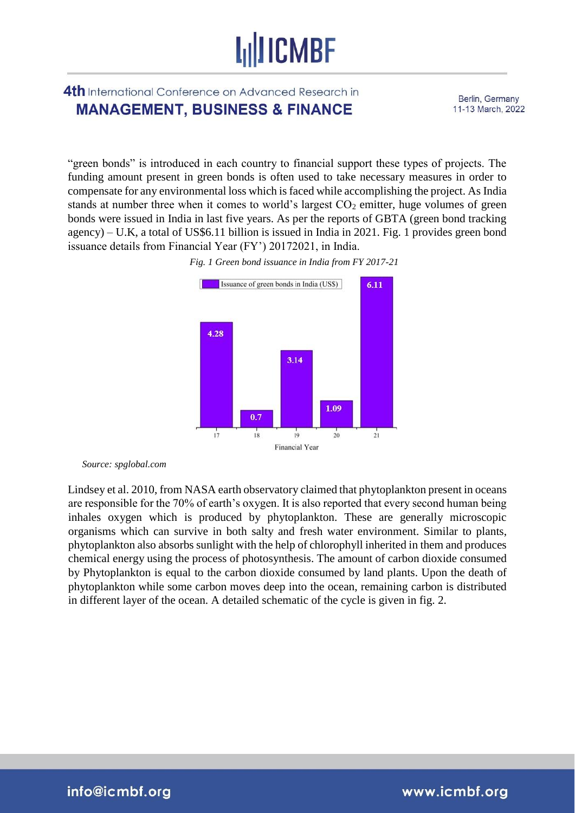### 4th International Conference on Advanced Research in **MANAGEMENT, BUSINESS & FINANCE**

Berlin, Germany 11-13 March, 2022

"green bonds" is introduced in each country to financial support these types of projects. The funding amount present in green bonds is often used to take necessary measures in order to compensate for any environmental loss which is faced while accomplishing the project. As India stands at number three when it comes to world's largest  $CO<sub>2</sub>$  emitter, huge volumes of green bonds were issued in India in last five years. As per the reports of GBTA (green bond tracking agency) – U.K, a total of US\$6.11 billion is issued in India in 2021. Fig. 1 provides green bond issuance details from Financial Year (FY') 20172021, in India.





*Source: spglobal.com* 

Lindsey et al. 2010, from NASA earth observatory claimed that phytoplankton present in oceans are responsible for the 70% of earth's oxygen. It is also reported that every second human being inhales oxygen which is produced by phytoplankton. These are generally microscopic organisms which can survive in both salty and fresh water environment. Similar to plants, phytoplankton also absorbs sunlight with the help of chlorophyll inherited in them and produces chemical energy using the process of photosynthesis. The amount of carbon dioxide consumed by Phytoplankton is equal to the carbon dioxide consumed by land plants. Upon the death of phytoplankton while some carbon moves deep into the ocean, remaining carbon is distributed in different layer of the ocean. A detailed schematic of the cycle is given in fig. 2.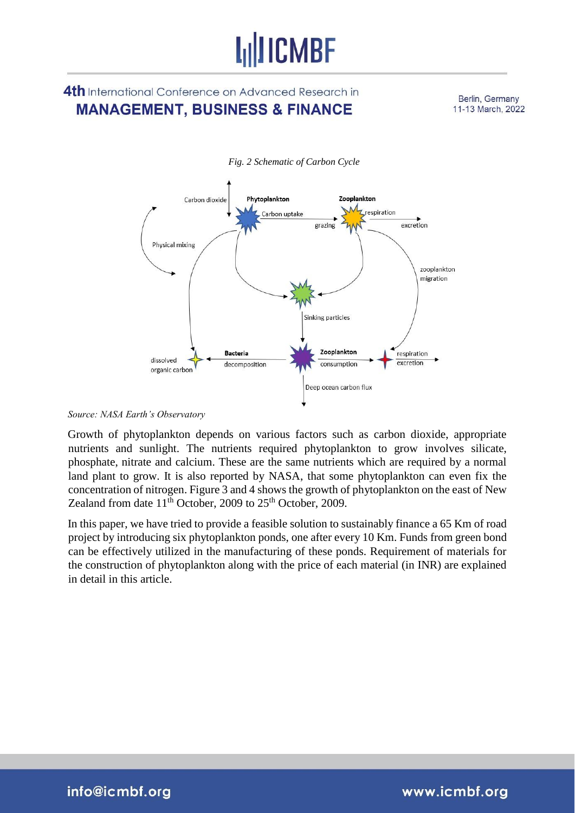## **LullICMBF**

## 4th International Conference on Advanced Research in **MANAGEMENT, BUSINESS & FINANCE**

Berlin, Germany 11-13 March, 2022



*Fig. 2 Schematic of Carbon Cycle* 

#### *Source: NASA Earth's Observatory*

Growth of phytoplankton depends on various factors such as carbon dioxide, appropriate nutrients and sunlight. The nutrients required phytoplankton to grow involves silicate, phosphate, nitrate and calcium. These are the same nutrients which are required by a normal land plant to grow. It is also reported by NASA, that some phytoplankton can even fix the concentration of nitrogen. Figure 3 and 4 shows the growth of phytoplankton on the east of New Zealand from date  $11<sup>th</sup>$  October, 2009 to  $25<sup>th</sup>$  October, 2009.

In this paper, we have tried to provide a feasible solution to sustainably finance a 65 Km of road project by introducing six phytoplankton ponds, one after every 10 Km. Funds from green bond can be effectively utilized in the manufacturing of these ponds. Requirement of materials for the construction of phytoplankton along with the price of each material (in INR) are explained in detail in this article.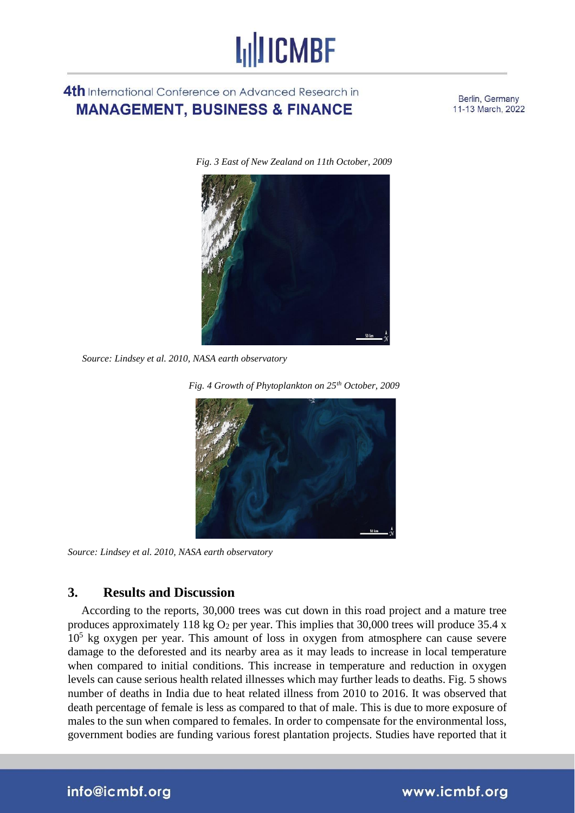## 4th International Conference on Advanced Research in **MANAGEMENT, BUSINESS & FINANCE**

Berlin, Germany 11-13 March, 2022

*Fig. 3 East of New Zealand on 11th October, 2009* 



*Source: Lindsey et al. 2010, NASA earth observatory* 



*Source: Lindsey et al. 2010, NASA earth observatory* 

### **3. Results and Discussion**

According to the reports, 30,000 trees was cut down in this road project and a mature tree produces approximately 118 kg  $O_2$  per year. This implies that 30,000 trees will produce 35.4 x 10<sup>5</sup> kg oxygen per year. This amount of loss in oxygen from atmosphere can cause severe damage to the deforested and its nearby area as it may leads to increase in local temperature when compared to initial conditions. This increase in temperature and reduction in oxygen levels can cause serious health related illnesses which may further leads to deaths. Fig. 5 shows number of deaths in India due to heat related illness from 2010 to 2016. It was observed that death percentage of female is less as compared to that of male. This is due to more exposure of males to the sun when compared to females. In order to compensate for the environmental loss, government bodies are funding various forest plantation projects. Studies have reported that it

### info@icmbf.org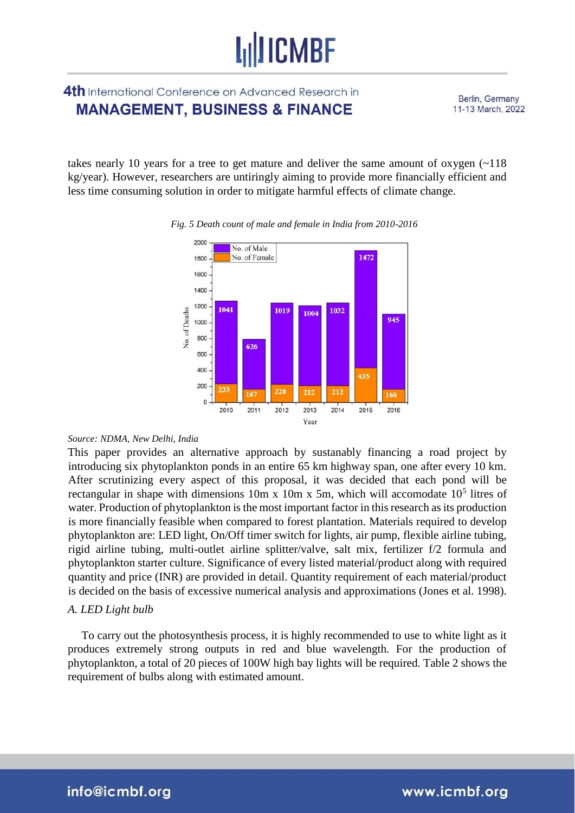### 4th International Conference on Advanced Research in **MANAGEMENT, BUSINESS & FINANCE**

Berlin, Germany 11-13 March, 2022

takes nearly 10 years for a tree to get mature and deliver the same amount of oxygen (~118 kg/year). However, researchers are untiringly aiming to provide more financially efficient and less time consuming solution in order to mitigate harmful effects of climate change.



#### *Fig. 5 Death count of male and female in India from 2010-2016*

#### *Source: NDMA, New Delhi, India*

This paper provides an alternative approach by sustanably financing a road project by introducing six phytoplankton ponds in an entire 65 km highway span, one after every 10 km. After scrutinizing every aspect of this proposal, it was decided that each pond will be rectangular in shape with dimensions  $10m \times 10m \times 5m$ , which will accomodate  $10<sup>5</sup>$  litres of water. Production of phytoplankton is the most important factor in this research as its production is more financially feasible when compared to forest plantation. Materials required to develop phytoplankton are: LED light, On/Off timer switch for lights, air pump, flexible airline tubing, rigid airline tubing, multi-outlet airline splitter/valve, salt mix, fertilizer f/2 formula and phytoplankton starter culture. Significance of every listed material/product along with required quantity and price (INR) are provided in detail. Quantity requirement of each material/product is decided on the basis of excessive numerical analysis and approximations (Jones et al. 1998).

#### *A. LED Light bulb*

To carry out the photosynthesis process, it is highly recommended to use to white light as it produces extremely strong outputs in red and blue wavelength. For the production of phytoplankton, a total of 20 pieces of 100W high bay lights will be required. Table 2 shows the requirement of bulbs along with estimated amount.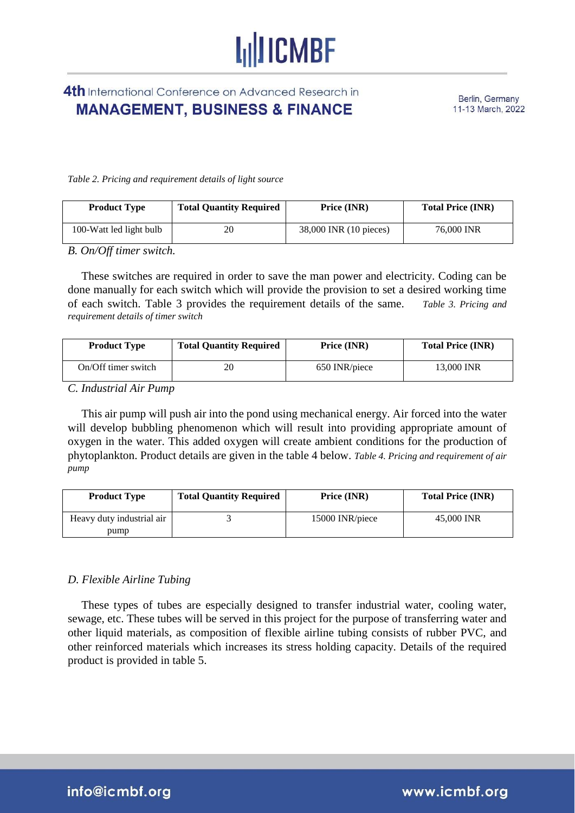## **I<sub>II</sub>IICMBF**

4th International Conference on Advanced Research in **MANAGEMENT, BUSINESS & FINANCE** 

Berlin, Germany 11-13 March, 2022

*Table 2. Pricing and requirement details of light source* 

| <b>Product Type</b>     | <b>Total Quantity Required</b> | Price (INR)            | <b>Total Price (INR)</b> |
|-------------------------|--------------------------------|------------------------|--------------------------|
| 100-Watt led light bulb | 20                             | 38,000 INR (10 pieces) | 76,000 INR               |

*B. On/Off timer switch.* 

These switches are required in order to save the man power and electricity. Coding can be done manually for each switch which will provide the provision to set a desired working time of each switch. Table 3 provides the requirement details of the same. *Table 3. Pricing and requirement details of timer switch* 

| <b>Product Type</b> | <b>Total Quantity Required</b> | Price (INR)   | <b>Total Price (INR)</b> |
|---------------------|--------------------------------|---------------|--------------------------|
| On/Off timer switch | 20                             | 650 INR/piece | 13.000 INR               |

*C. Industrial Air Pump* 

This air pump will push air into the pond using mechanical energy. Air forced into the water will develop bubbling phenomenon which will result into providing appropriate amount of oxygen in the water. This added oxygen will create ambient conditions for the production of phytoplankton. Product details are given in the table 4 below. *Table 4. Pricing and requirement of air pump* 

| <b>Product Type</b>       | <b>Total Quantity Required</b> | Price (INR)     | <b>Total Price (INR)</b> |
|---------------------------|--------------------------------|-----------------|--------------------------|
| Heavy duty industrial air |                                | 15000 INR/piece | 45,000 INR               |
| pump                      |                                |                 |                          |

#### *D. Flexible Airline Tubing*

These types of tubes are especially designed to transfer industrial water, cooling water, sewage, etc. These tubes will be served in this project for the purpose of transferring water and other liquid materials, as composition of flexible airline tubing consists of rubber PVC, and other reinforced materials which increases its stress holding capacity. Details of the required product is provided in table 5.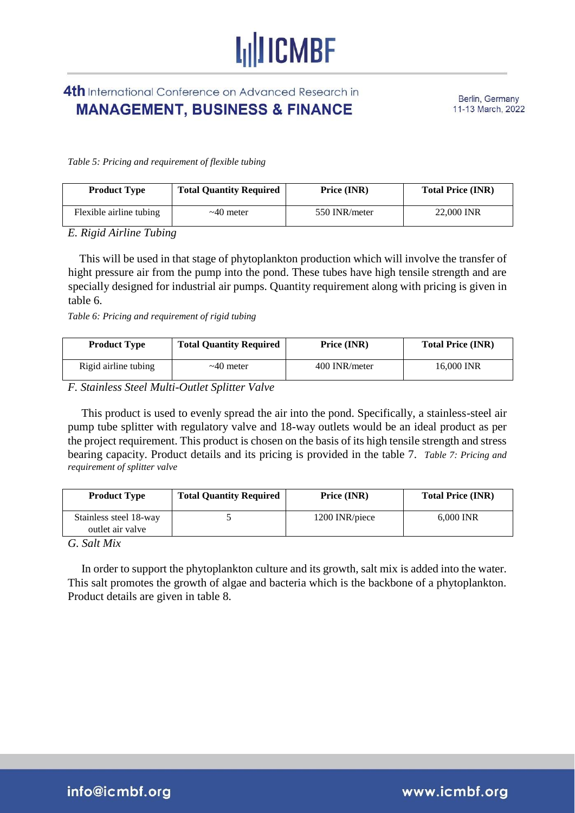## 4th International Conference on Advanced Research in **MANAGEMENT, BUSINESS & FINANCE**

Berlin, Germany 11-13 March, 2022

*Table 5: Pricing and requirement of flexible tubing*

| <b>Product Type</b>     | <b>Total Quantity Required</b> | Price (INR)   | <b>Total Price (INR)</b> |
|-------------------------|--------------------------------|---------------|--------------------------|
| Flexible airline tubing | $\sim$ 40 meter                | 550 INR/meter | 22,000 INR               |

*E. Rigid Airline Tubing* 

 This will be used in that stage of phytoplankton production which will involve the transfer of hight pressure air from the pump into the pond. These tubes have high tensile strength and are specially designed for industrial air pumps. Quantity requirement along with pricing is given in table 6.

*Table 6: Pricing and requirement of rigid tubing* 

| <b>Product Type</b>  | <b>Total Quantity Required</b> | Price (INR)   | <b>Total Price (INR)</b> |
|----------------------|--------------------------------|---------------|--------------------------|
| Rigid airline tubing | $\sim$ 40 meter                | 400 INR/meter | 16.000 INR               |

*F. Stainless Steel Multi-Outlet Splitter Valve* 

This product is used to evenly spread the air into the pond. Specifically, a stainless-steel air pump tube splitter with regulatory valve and 18-way outlets would be an ideal product as per the project requirement. This product is chosen on the basis of its high tensile strength and stress bearing capacity. Product details and its pricing is provided in the table 7. *Table 7: Pricing and requirement of splitter valve* 

| <b>Product Type</b>                        | <b>Total Quantity Required</b> | Price (INR)    | <b>Total Price (INR)</b> |
|--------------------------------------------|--------------------------------|----------------|--------------------------|
| Stainless steel 18-way<br>outlet air valve |                                | 1200 INR/piece | 6,000 INR                |

*G. Salt Mix* 

In order to support the phytoplankton culture and its growth, salt mix is added into the water. This salt promotes the growth of algae and bacteria which is the backbone of a phytoplankton. Product details are given in table 8.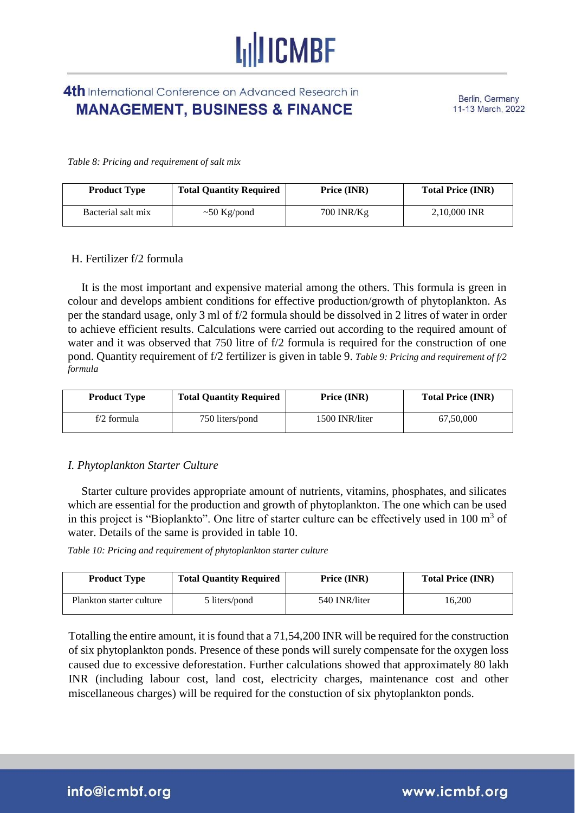## 4th International Conference on Advanced Research in **MANAGEMENT, BUSINESS & FINANCE**

Berlin, Germany 11-13 March, 2022

*Table 8: Pricing and requirement of salt mix* 

| <b>Product Type</b> | <b>Total Quantity Required</b> | Price (INR) | <b>Total Price (INR)</b> |
|---------------------|--------------------------------|-------------|--------------------------|
| Bacterial salt mix  | $\sim 50$ Kg/pond              | 700 INR/Kg  | 2,10,000 INR             |

#### H. Fertilizer f/2 formula

It is the most important and expensive material among the others. This formula is green in colour and develops ambient conditions for effective production/growth of phytoplankton. As per the standard usage, only 3 ml of f/2 formula should be dissolved in 2 litres of water in order to achieve efficient results. Calculations were carried out according to the required amount of water and it was observed that 750 litre of f/2 formula is required for the construction of one pond. Quantity requirement of f/2 fertilizer is given in table 9. *Table 9: Pricing and requirement of f/2 formula*

| <b>Product Type</b> | <b>Total Quantity Required</b> | Price (INR)    | <b>Total Price (INR)</b> |
|---------------------|--------------------------------|----------------|--------------------------|
| f/2 formula         | 750 liters/pond                | 1500 INR/liter | 67,50,000                |

#### *I. Phytoplankton Starter Culture*

Starter culture provides appropriate amount of nutrients, vitamins, phosphates, and silicates which are essential for the production and growth of phytoplankton. The one which can be used in this project is "Bioplankto". One litre of starter culture can be effectively used in  $100 \text{ m}^3$  of water. Details of the same is provided in table 10.

*Table 10: Pricing and requirement of phytoplankton starter culture* 

| <b>Product Type</b>      | <b>Total Quantity Required</b> | Price (INR)   | <b>Total Price (INR)</b> |
|--------------------------|--------------------------------|---------------|--------------------------|
| Plankton starter culture | 5 liters/pond                  | 540 INR/liter | 16.200                   |

Totalling the entire amount, it is found that a 71,54,200 INR will be required for the construction of six phytoplankton ponds. Presence of these ponds will surely compensate for the oxygen loss caused due to excessive deforestation. Further calculations showed that approximately 80 lakh INR (including labour cost, land cost, electricity charges, maintenance cost and other miscellaneous charges) will be required for the constuction of six phytoplankton ponds.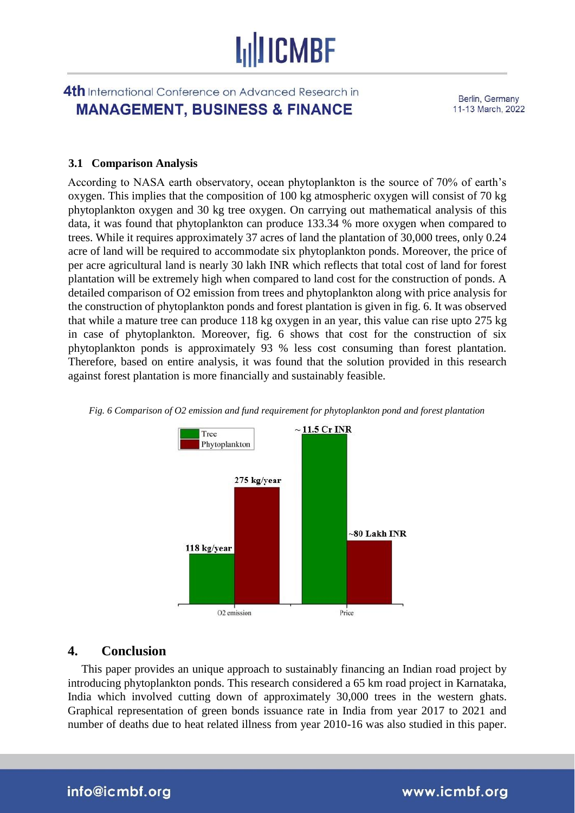### 4th International Conference on Advanced Research in **MANAGEMENT, BUSINESS & FINANCE**

Berlin, Germany 11-13 March, 2022

#### **3.1 Comparison Analysis**

According to NASA earth observatory, ocean phytoplankton is the source of 70% of earth's oxygen. This implies that the composition of 100 kg atmospheric oxygen will consist of 70 kg phytoplankton oxygen and 30 kg tree oxygen. On carrying out mathematical analysis of this data, it was found that phytoplankton can produce 133.34 % more oxygen when compared to trees. While it requires approximately 37 acres of land the plantation of 30,000 trees, only 0.24 acre of land will be required to accommodate six phytoplankton ponds. Moreover, the price of per acre agricultural land is nearly 30 lakh INR which reflects that total cost of land for forest plantation will be extremely high when compared to land cost for the construction of ponds. A detailed comparison of O2 emission from trees and phytoplankton along with price analysis for the construction of phytoplankton ponds and forest plantation is given in fig. 6. It was observed that while a mature tree can produce 118 kg oxygen in an year, this value can rise upto 275 kg in case of phytoplankton. Moreover, fig. 6 shows that cost for the construction of six phytoplankton ponds is approximately 93 % less cost consuming than forest plantation. Therefore, based on entire analysis, it was found that the solution provided in this research against forest plantation is more financially and sustainably feasible.



*Fig. 6 Comparison of O2 emission and fund requirement for phytoplankton pond and forest plantation* 

#### **4. Conclusion**

This paper provides an unique approach to sustainably financing an Indian road project by introducing phytoplankton ponds. This research considered a 65 km road project in Karnataka, India which involved cutting down of approximately 30,000 trees in the western ghats. Graphical representation of green bonds issuance rate in India from year 2017 to 2021 and number of deaths due to heat related illness from year 2010-16 was also studied in this paper.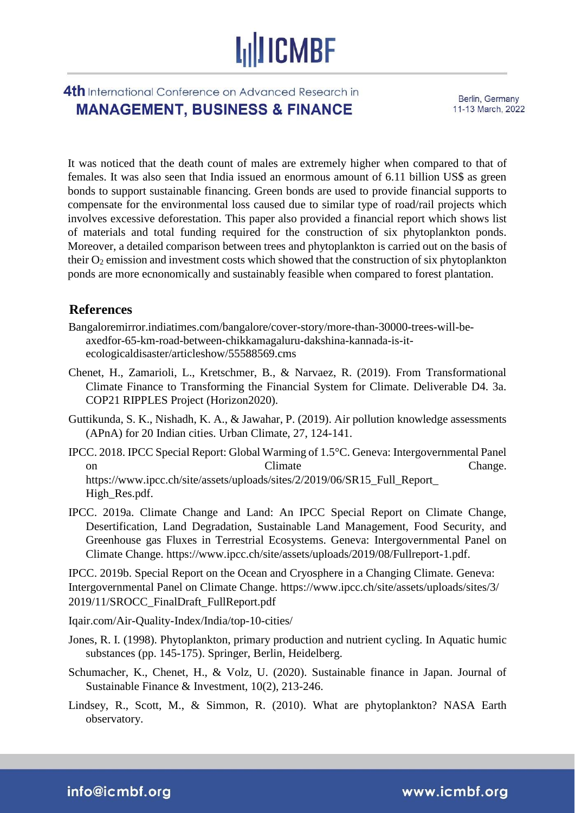## 4th International Conference on Advanced Research in **MANAGEMENT, BUSINESS & FINANCE**

Berlin, Germany 11-13 March, 2022

It was noticed that the death count of males are extremely higher when compared to that of females. It was also seen that India issued an enormous amount of 6.11 billion US\$ as green bonds to support sustainable financing. Green bonds are used to provide financial supports to compensate for the environmental loss caused due to similar type of road/rail projects which involves excessive deforestation. This paper also provided a financial report which shows list of materials and total funding required for the construction of six phytoplankton ponds. Moreover, a detailed comparison between trees and phytoplankton is carried out on the basis of their  $O_2$  emission and investment costs which showed that the construction of six phytoplankton ponds are more ecnonomically and sustainably feasible when compared to forest plantation.

### **References**

- Bangaloremirror.indiatimes.com/bangalore/cover-story/more-than-30000-trees-will-beaxedfor-65-km-road-between-chikkamagaluru-dakshina-kannada-is-itecologicaldisaster/articleshow/55588569.cms
- Chenet, H., Zamarioli, L., Kretschmer, B., & Narvaez, R. (2019). From Transformational Climate Finance to Transforming the Financial System for Climate. Deliverable D4. 3a. COP21 RIPPLES Project (Horizon2020).
- Guttikunda, S. K., Nishadh, K. A., & Jawahar, P. (2019). Air pollution knowledge assessments (APnA) for 20 Indian cities. Urban Climate, 27, 124-141.
- IPCC. 2018. IPCC Special Report: Global Warming of 1.5°C. Geneva: Intergovernmental Panel on Climate Change. https://www.ipcc.ch/site/assets/uploads/sites/2/2019/06/SR15\_Full\_Report\_ High\_Res.pdf.
- IPCC. 2019a. Climate Change and Land: An IPCC Special Report on Climate Change, Desertification, Land Degradation, Sustainable Land Management, Food Security, and Greenhouse gas Fluxes in Terrestrial Ecosystems. Geneva: Intergovernmental Panel on Climate Change. https://www.ipcc.ch/site/assets/uploads/2019/08/Fullreport-1.pdf.

IPCC. 2019b. Special Report on the Ocean and Cryosphere in a Changing Climate. Geneva: Intergovernmental Panel on Climate Change. https://www.ipcc.ch/site/assets/uploads/sites/3/ 2019/11/SROCC\_FinalDraft\_FullReport.pdf

Iqair.com/Air-Quality-Index/India/top-10-cities/

- Jones, R. I. (1998). Phytoplankton, primary production and nutrient cycling. In Aquatic humic substances (pp. 145-175). Springer, Berlin, Heidelberg.
- Schumacher, K., Chenet, H., & Volz, U. (2020). Sustainable finance in Japan. Journal of Sustainable Finance & Investment, 10(2), 213-246.
- Lindsey, R., Scott, M., & Simmon, R. (2010). What are phytoplankton? NASA Earth observatory.

info@icmbf.org